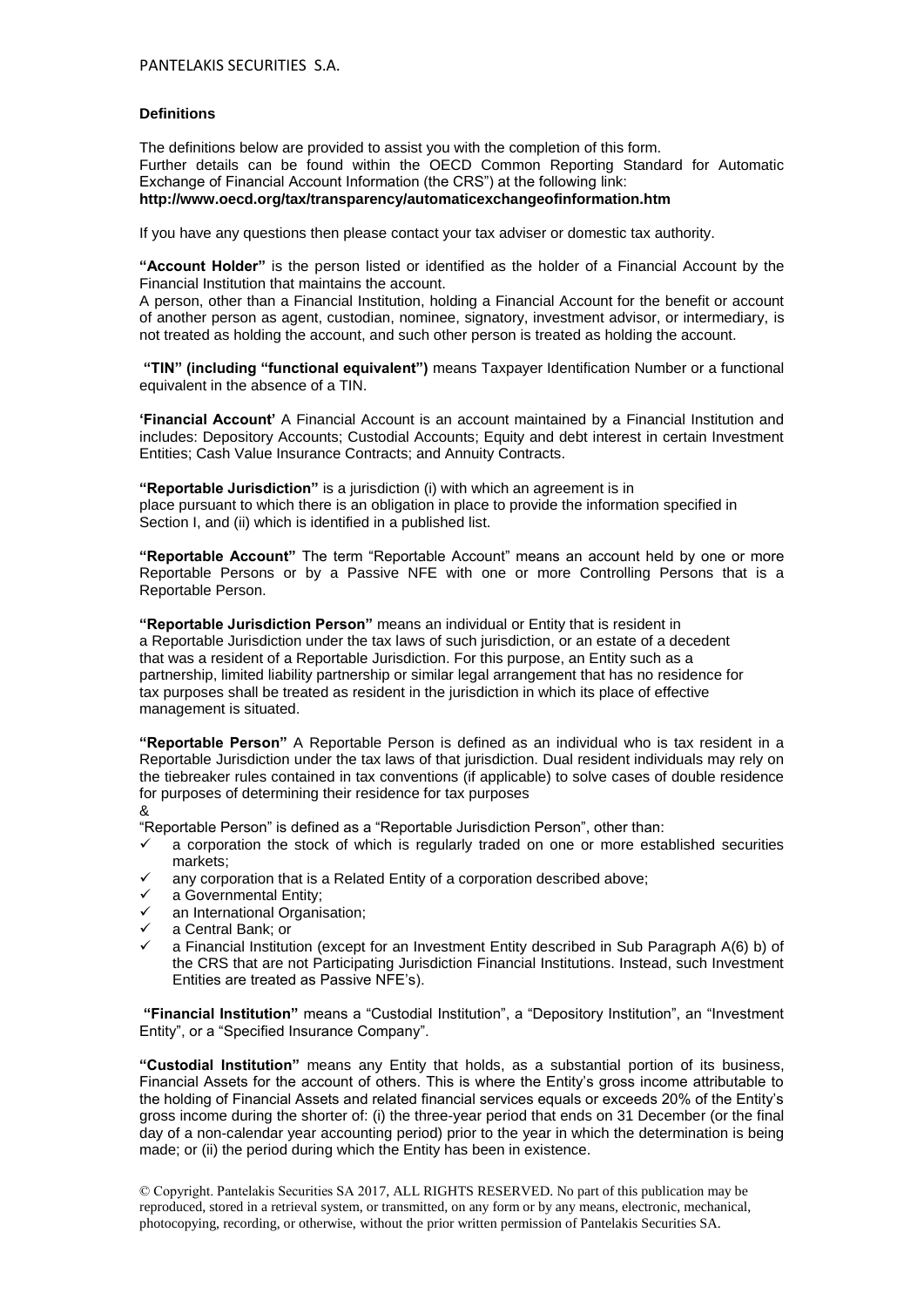# **Definitions**

The definitions below are provided to assist you with the completion of this form. Further details can be found within the OECD Common Reporting Standard for Automatic Exchange of Financial Account Information (the CRS") at the following link: **http://www.oecd.org/tax/transparency/automaticexchangeofinformation.htm**

If you have any questions then please contact your tax adviser or domestic tax authority.

**"Account Holder"** is the person listed or identified as the holder of a Financial Account by the Financial Institution that maintains the account.

A person, other than a Financial Institution, holding a Financial Account for the benefit or account of another person as agent, custodian, nominee, signatory, investment advisor, or intermediary, is not treated as holding the account, and such other person is treated as holding the account.

**"TIN" (including "functional equivalent")** means Taxpayer Identification Number or a functional equivalent in the absence of a TIN.

**'Financial Account'** A Financial Account is an account maintained by a Financial Institution and includes: Depository Accounts; Custodial Accounts; Equity and debt interest in certain Investment Entities; Cash Value Insurance Contracts; and Annuity Contracts.

**"Reportable Jurisdiction"** is a jurisdiction (i) with which an agreement is in place pursuant to which there is an obligation in place to provide the information specified in Section I, and (ii) which is identified in a published list.

**"Reportable Account"** The term "Reportable Account" means an account held by one or more Reportable Persons or by a Passive NFE with one or more Controlling Persons that is a Reportable Person.

**"Reportable Jurisdiction Person"** means an individual or Entity that is resident in a Reportable Jurisdiction under the tax laws of such jurisdiction, or an estate of a decedent that was a resident of a Reportable Jurisdiction. For this purpose, an Entity such as a partnership, limited liability partnership or similar legal arrangement that has no residence for tax purposes shall be treated as resident in the jurisdiction in which its place of effective management is situated.

**"Reportable Person"** A Reportable Person is defined as an individual who is tax resident in a Reportable Jurisdiction under the tax laws of that jurisdiction. Dual resident individuals may rely on the tiebreaker rules contained in tax conventions (if applicable) to solve cases of double residence for purposes of determining their residence for tax purposes

# &

"Reportable Person" is defined as a "Reportable Jurisdiction Person", other than:

- $\checkmark$  a corporation the stock of which is regularly traded on one or more established securities markets;
- any corporation that is a Related Entity of a corporation described above;
- a Governmental Entity;
- an International Organisation;
- a Central Bank; or
- a Financial Institution (except for an Investment Entity described in Sub Paragraph A(6) b) of the CRS that are not Participating Jurisdiction Financial Institutions. Instead, such Investment Entities are treated as Passive NFE's).

**"Financial Institution"** means a "Custodial Institution", a "Depository Institution", an "Investment Entity", or a "Specified Insurance Company".

**"Custodial Institution"** means any Entity that holds, as a substantial portion of its business, Financial Assets for the account of others. This is where the Entity's gross income attributable to the holding of Financial Assets and related financial services equals or exceeds 20% of the Entity's gross income during the shorter of: (i) the three-year period that ends on 31 December (or the final day of a non-calendar year accounting period) prior to the year in which the determination is being made; or (ii) the period during which the Entity has been in existence.

© Copyright. Pantelakis Securities SA 2017, ALL RIGHTS RESERVED. No part of this publication may be reproduced, stored in a retrieval system, or transmitted, on any form or by any means, electronic, mechanical, photocopying, recording, or otherwise, without the prior written permission of Pantelakis Securities SA.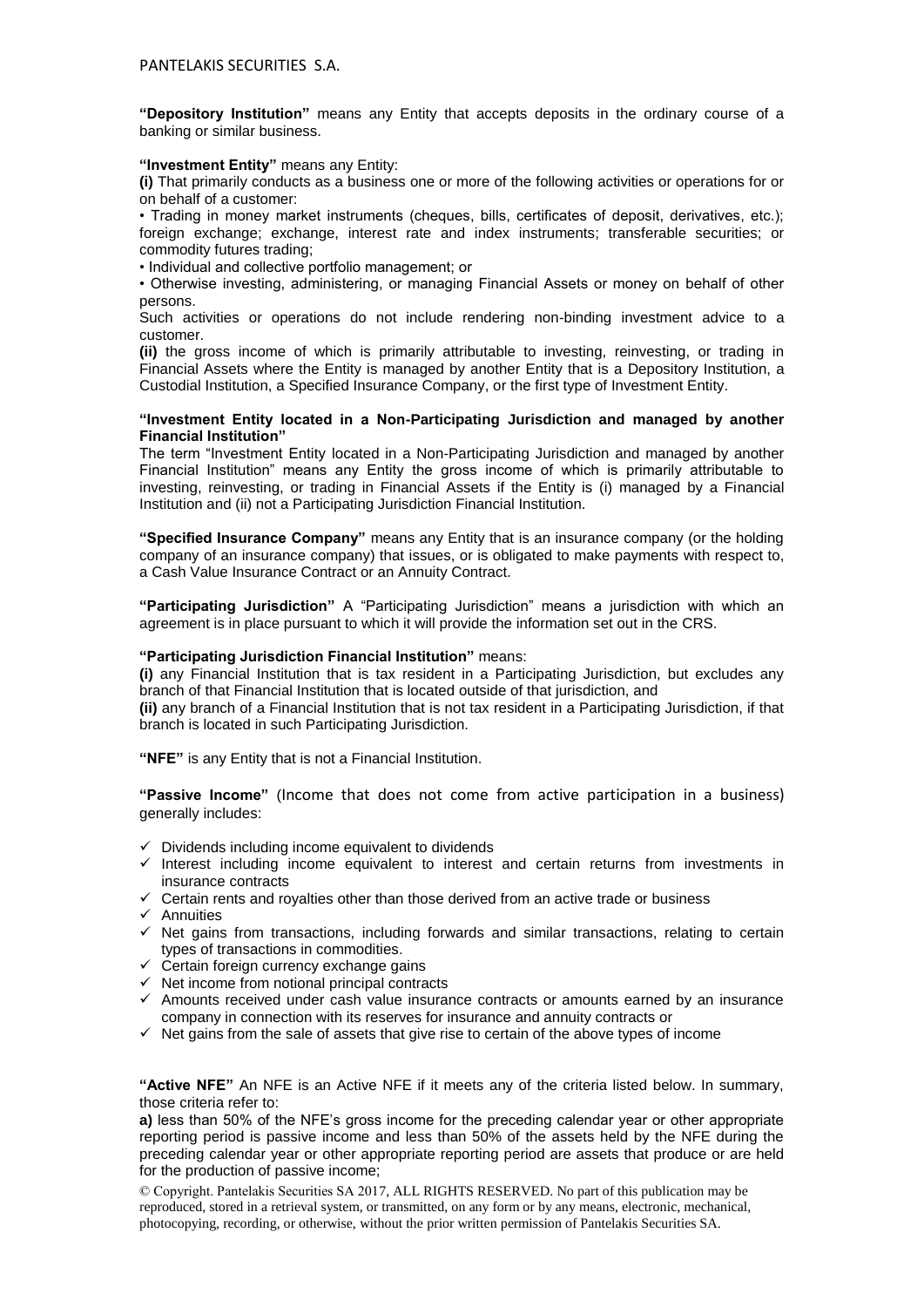**"Depository Institution"** means any Entity that accepts deposits in the ordinary course of a banking or similar business.

## **"Investment Entity"** means any Entity:

**(i)** That primarily conducts as a business one or more of the following activities or operations for or on behalf of a customer:

• Trading in money market instruments (cheques, bills, certificates of deposit, derivatives, etc.); foreign exchange; exchange, interest rate and index instruments; transferable securities; or commodity futures trading;

• Individual and collective portfolio management; or

• Otherwise investing, administering, or managing Financial Assets or money on behalf of other persons.

Such activities or operations do not include rendering non-binding investment advice to a customer.

**(ii)** the gross income of which is primarily attributable to investing, reinvesting, or trading in Financial Assets where the Entity is managed by another Entity that is a Depository Institution, a Custodial Institution, a Specified Insurance Company, or the first type of Investment Entity.

## **"Investment Entity located in a Non-Participating Jurisdiction and managed by another Financial Institution"**

The term "Investment Entity located in a Non-Participating Jurisdiction and managed by another Financial Institution" means any Entity the gross income of which is primarily attributable to investing, reinvesting, or trading in Financial Assets if the Entity is (i) managed by a Financial Institution and (ii) not a Participating Jurisdiction Financial Institution.

**"Specified Insurance Company"** means any Entity that is an insurance company (or the holding company of an insurance company) that issues, or is obligated to make payments with respect to, a Cash Value Insurance Contract or an Annuity Contract.

**"Participating Jurisdiction"** A "Participating Jurisdiction" means a jurisdiction with which an agreement is in place pursuant to which it will provide the information set out in the CRS.

## **"Participating Jurisdiction Financial Institution"** means:

**(i)** any Financial Institution that is tax resident in a Participating Jurisdiction, but excludes any branch of that Financial Institution that is located outside of that jurisdiction, and

**(ii)** any branch of a Financial Institution that is not tax resident in a Participating Jurisdiction, if that branch is located in such Participating Jurisdiction.

**"NFE"** is any Entity that is not a Financial Institution.

**"Passive Income"** (Income that does not come from active participation in a business) generally includes:

- $\checkmark$  Dividends including income equivalent to dividends
- $\checkmark$  Interest including income equivalent to interest and certain returns from investments in insurance contracts
- $\checkmark$  Certain rents and rovalties other than those derived from an active trade or business
- $\checkmark$  Annuities
- $\checkmark$  Net gains from transactions, including forwards and similar transactions, relating to certain types of transactions in commodities.
- $\checkmark$  Certain foreign currency exchange gains
- $\checkmark$  Net income from notional principal contracts
- $\checkmark$  Amounts received under cash value insurance contracts or amounts earned by an insurance company in connection with its reserves for insurance and annuity contracts or
- $\checkmark$  Net gains from the sale of assets that give rise to certain of the above types of income

**"Active NFE"** An NFE is an Active NFE if it meets any of the criteria listed below. In summary, those criteria refer to:

**a)** less than 50% of the NFE's gross income for the preceding calendar year or other appropriate reporting period is passive income and less than 50% of the assets held by the NFE during the preceding calendar year or other appropriate reporting period are assets that produce or are held for the production of passive income;

© Copyright. Pantelakis Securities SA 2017, ALL RIGHTS RESERVED. No part of this publication may be reproduced, stored in a retrieval system, or transmitted, on any form or by any means, electronic, mechanical, photocopying, recording, or otherwise, without the prior written permission of Pantelakis Securities SA.